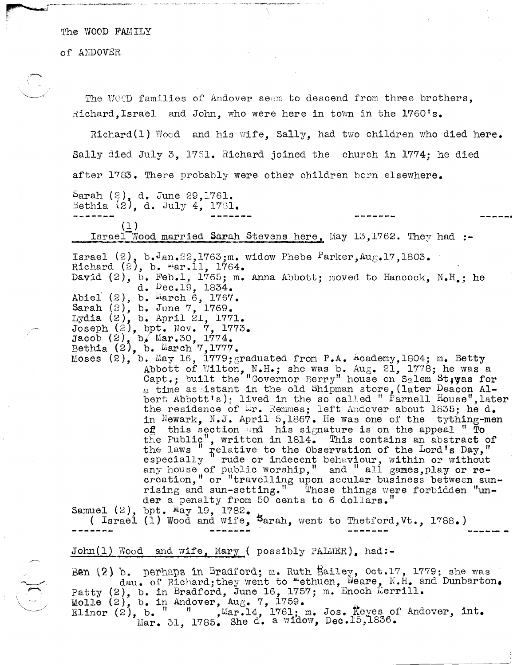The WOOD FAMILY

of ANDOVER

~.~.-. -,.,~-------.. , -

i'

 $\mathbb{C}^{\times}$ 

The WOOD families of Andover seem to descend from three brothers, Richard.Israel and John. who were here in town in the 1760's.

Richard(1)  $Wood$  and his wife, Sally, had two children who died here. Sally died July 3, 17Sl. Richard joined the church in 1774; he died after 1783. There probably were other children born elsewhere.

Sarah  $(2)$ , d. June 29,1761. Bethia  $(2)$ , d. July 4, 1761.

(1 )

=!;,srael-Wood married Sarah Stevens here, May 13,1762. They had **:-**

Israel  $(2)$ , b. $J_{an.22}$ ,1763;m. widow Phebe  $P\text{arker,Aug.17,1803.}$ Richard  $(2)$ , b.  $\text{Mar.11, 1764.}$ 

David  $(2)$ , b. Feb.1, 1765; m. Anna Abbott; moved to Hancock, N.H.; he d. Dec.19, 1834.

Abiel  $(2)$ , b. March 6, 1767.

Sarah  $(2)$ , b. June 7, 1769.

Lydia  $(2)$ , b. April 21, 1771. Joseph *U?),* bpt. Nov. 7, 1773.

Jacob (2), b, Mar.30, 1774.

Bethia  $(2)$ , b. March 7,1777.

Moses  $(2)$ , b. May 16, 1779; graduated from P.A. Academy, 1804; m. Betty Abbott of Wilton, N.H.; she was b. Aug. 21, 1778; he was a Capt.; built the "Governor Berry" house on Salem St, yes for a time as istant in the old Shipman store, (later Deacon Albert Abbott's); lived in the so called " Parnell  $H_{\text{ouse}}$ ", later the residence of Er. Remmes; left Andover about 1835; he d. in Newark, N.J. April 5,1867. He was one of the tything-men of this section and his signature is on the appeal " To the Public", written in 1814. This contains an abstract of the laws " relative to the Observation of the Lord's Day," especially <sup>1</sup> rude or indecent behaviour, within or without espociatify rade of indecent benaviour, within or without creation," or "travelling upon secular business between sunrising and sun-setting." These things were forbidden "un-<br>der a penalty from 50 cents to 6 dollars."

Samuel  $(2)$ , bpt.  $\text{May } 19$ , 1782.

( Israel  $(1)$  Wood and wife,  $\frac{1}{2}$  Wood and wife,  $\frac{1}{2}$  Wood and wife,  $\frac{1}{2}$  Wood and wife,  $\frac{1}{2}$  Wood and wife,  $\frac{1}{2}$  Wood and wife,  $\frac{1}{2}$  Wood and wife,  $\frac{1}{2}$  Wood and wife,  $\frac{1}{2}$  Wood a

John $(1)$  Wood and wife, Mary ( possibly PALMER), had:-

Ben (2) b. perhaps in Bradford; m. Ruth Bailey,  $0ct.17$ , 1779; she was dau. of Richard;they went to "ethuen, Weare, N.H. and Dunbarton. Patty  $(2)$ , b. in Bradford, June 16, 1757; m. Enoch Merrill. Molle  $(2)$ , b. in Andover, Aug. 7, 1759. Elinor  $(z)$ , b.  $\frac{1}{1}$   $\frac{1}{1}$  , Mar.14, 1761; m. Jos. Keyes of Andover, int.  $\text{Mar. 31, } 1785.$  She d. a widow, Dec.15,1836.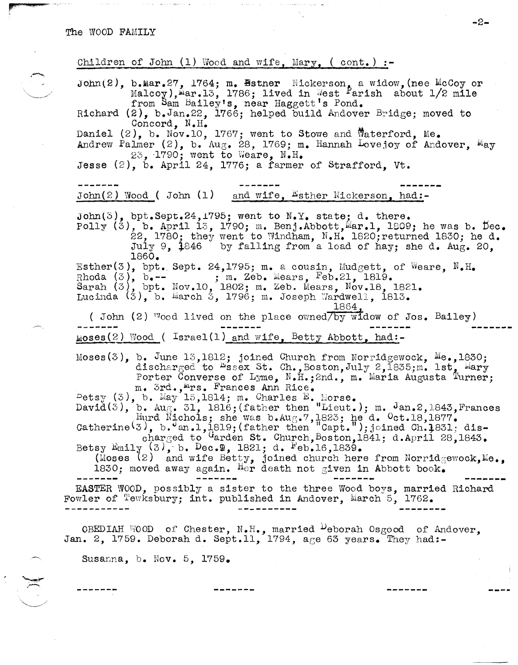r' and all the state of the later.

Children of John  $(1)$  Wood and wife, Mary,  $($  cont.  $)$  :-

John(2), b.Mar.27, 1764; m. Bstner Nickerson, a widow, (nee McCoy or Malcoy), Mar.13, 1786; lived in West <sup>P</sup>arish about  $1/2$  mile from Sam Bailey's, near Haggett's Pond. Richard (2), b.Jan.22, 1766; helped build Andover Bridge; moved to Concord, N.H. Daniel (2), b. Nov.10, 1767; went to Stowe and Waterford, Me. Andrew Palmer  $(2)$ , b. Aug. 28, 1769; m. Hannah Lovejoy of Andover,  $M_{\text{ay}}$ 23, 1790; went to Weare,  $N_{\bullet}H_{\bullet}$ Jesse (2), b. April 24, 1776; a farmer of Strafford, Vt. John $(2)$  Wood ( John  $(1)$  and wife,  $E$ sther Nickerson, had:-John(3), bpt.Sept.24,1795; went to  $N.Y.$  state; d. there.  $\text{poly}(3)$ , b. April 13, 1790; m. Benj.Abbott, $\text{Mar.1, } 1809$ ; he was b. Dec.  $22$ , 1780; they went to Windham, N.H. 1820; returned 1830; he d. July 9.  $1846$  by falling from a load of hay; she d. Aug. 20. 1860. Esther(3), bpt. Sept. 24,1795; m. a cousin, Mudgett, of Weare, N.H. Rhoda  $(3)$ ,  $b$ .-- ; m. Zeb. Mears, Feb.21, 1819. Sarah  $(3)$ , bpt. Nov.10, 1802; m. Zeb. Mears, Nov.18, 1821. Lucinda  $(3)$ , b. March 3, 1796; m. Joseph Wardwell, 1813. 1864. ( John (2)  $\sqrt[1]{\ }$ ood lived on the place owned $\sqrt{b}$ y widow of Jos. Bailey)  $_{MOS}$ es(2) Wood ( Israel(1) and wife, Betty Abbott, had:-Moses(3), b. June  $13,1812$ ; joined Church from Norridgewock, Me.,1830; discharged to Essex St. Ch., Boston, July 2, 1835;m. lst, Eary Porter Converse of Lyme, N.H.; 2nd., m. Maria Augusta Turner; m. 3rd., Mrs. Frances Ann Rice.  $Petsy$  (3), b. May 15,1814; m. Charles B. Morse.  $David(3)$ , b.  $Aug. 31$ ,  $1816$ ; (father then "Lieut.); m. Jan. 2,1843, Frances Hurd Nichols; she was b.Aug.7,1823; he d.  $0ct.18,1877.$ Catherine  $(3)$ , b.  $J_{an.1}$ , 1,819; (father then  $[Capt.$ "); joined Ch. 1831; discharged to  $q$  arden St. Church, Boston, 1841; d.April 28,1843. Betsy Emily  $(3)$ , b. Dec.9, 1821; d. Feb.16,1839. (Moses  $(2)$  and wife Betty, joined church here from Norridgewock, Me., 1830; moved away again. Her death not given in Abbott book. EASTER WOOD, possibly a sister to the three Wood boys, married Richard Fowler of Tewksbury; int. published in Andover, March 5, 1762. OBEDIAH WOOD of Chester,  $N_{\bullet}H_{\bullet}$ , married Deborah Osgood of Andover, Jan. 2, 1759. Deborah d. Sept.11, 1794, age 63 years. They had:-

Susanna, b. Nov. 5, 1759.

-2-